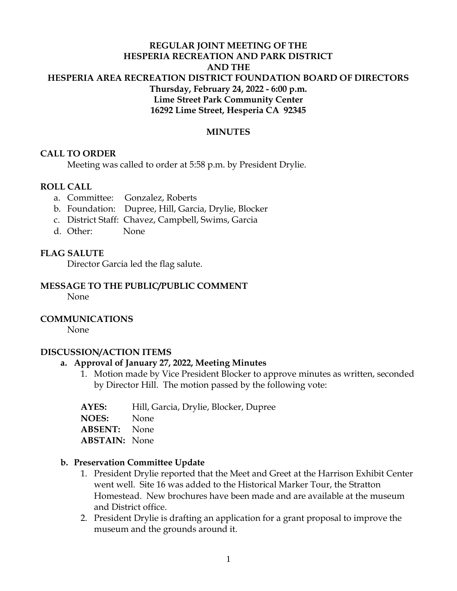## **REGULAR JOINT MEETING OF THE HESPERIA RECREATION AND PARK DISTRICT AND THE HESPERIA AREA RECREATION DISTRICT FOUNDATION BOARD OF DIRECTORS Thursday, February 24, 2022 - 6:00 p.m. Lime Street Park Community Center 16292 Lime Street, Hesperia CA 92345**

### **MINUTES**

### **CALL TO ORDER**

Meeting was called to order at 5:58 p.m. by President Drylie.

#### **ROLL CALL**

- a. Committee: Gonzalez, Roberts
- b. Foundation: Dupree, Hill, Garcia, Drylie, Blocker
- c. District Staff: Chavez, Campbell, Swims, Garcia
- d. Other: None

### **FLAG SALUTE**

Director Garcia led the flag salute.

### **MESSAGE TO THE PUBLIC/PUBLIC COMMENT**

None

#### **COMMUNICATIONS**

None

#### **DISCUSSION/ACTION ITEMS**

#### **a. Approval of January 27, 2022, Meeting Minutes**

- 1. Motion made by Vice President Blocker to approve minutes as written, seconded by Director Hill. The motion passed by the following vote:
- **AYES:** Hill, Garcia, Drylie, Blocker, Dupree

**NOES:** None

**ABSENT:** None

**ABSTAIN:** None

#### **b. Preservation Committee Update**

- 1. President Drylie reported that the Meet and Greet at the Harrison Exhibit Center went well. Site 16 was added to the Historical Marker Tour, the Stratton Homestead. New brochures have been made and are available at the museum and District office.
- 2. President Drylie is drafting an application for a grant proposal to improve the museum and the grounds around it.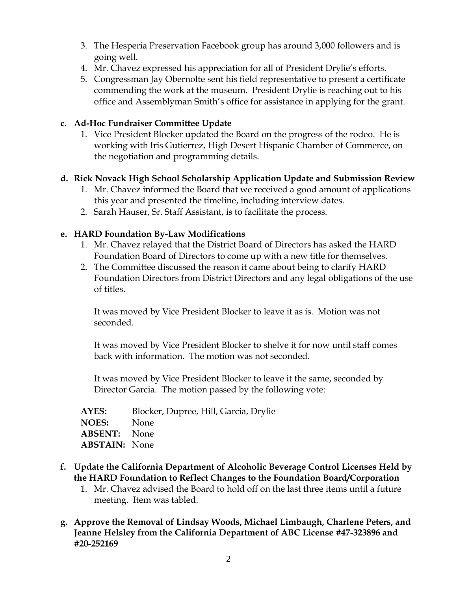- 3. The Hesperia Preservation Facebook group has around 3,000 followers and is going well.
- 4. Mr. Chavez expressed his appreciation for all of President Drylie's efforts.
- 5. Congressman Jay Obernolte sent his field representative to present a certificate commending the work at the museum. President Drylie is reaching out to his office and Assemblyman Smith's office for assistance in applying for the grant.

## **c. Ad-Hoc Fundraiser Committee Update**

1. Vice President Blocker updated the Board on the progress of the rodeo. He is working with Iris Gutierrez, High Desert Hispanic Chamber of Commerce, on the negotiation and programming details.

# **d. Rick Novack High School Scholarship Application Update and Submission Review**

- 1. Mr. Chavez informed the Board that we received a good amount of applications this year and presented the timeline, including interview dates.
- 2. Sarah Hauser, Sr. Staff Assistant, is to facilitate the process.

## **e. HARD Foundation By-Law Modifications**

- 1. Mr. Chavez relayed that the District Board of Directors has asked the HARD Foundation Board of Directors to come up with a new title for themselves.
- 2. The Committee discussed the reason it came about being to clarify HARD Foundation Directors from District Directors and any legal obligations of the use of titles.

It was moved by Vice President Blocker to leave it as is. Motion was not seconded.

It was moved by Vice President Blocker to shelve it for now until staff comes back with information. The motion was not seconded.

It was moved by Vice President Blocker to leave it the same, seconded by Director Garcia. The motion passed by the following vote:

| Blocker, Dupree, Hill, Garcia, Drylie |
|---------------------------------------|
| <b>NOES:</b> None                     |
| <b>ABSENT:</b> None                   |
| <b>ABSTAIN:</b> None                  |
|                                       |

- **f. Update the California Department of Alcoholic Beverage Control Licenses Held by the HARD Foundation to Reflect Changes to the Foundation Board/Corporation**
	- 1. Mr. Chavez advised the Board to hold off on the last three items until a future meeting. Item was tabled.
- **g. Approve the Removal of Lindsay Woods, Michael Limbaugh, Charlene Peters, and Jeanne Helsley from the California Department of ABC License #47-323896 and #20-252169**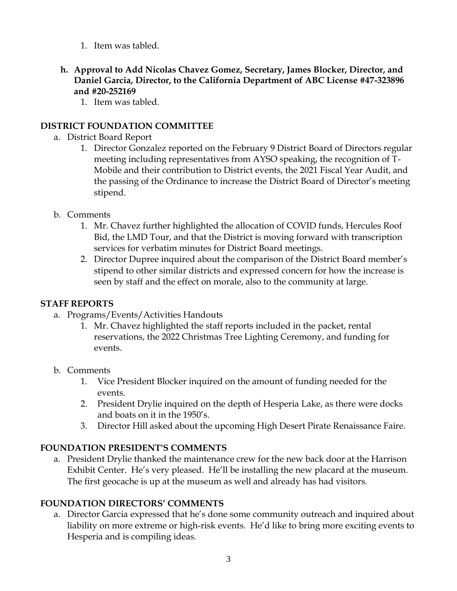- 1. Item was tabled.
- **h. Approval to Add Nicolas Chavez Gomez, Secretary, James Blocker, Director, and Daniel Garcia, Director, to the California Department of ABC License #47-323896 and #20-252169**
	- 1. Item was tabled.

## **DISTRICT FOUNDATION COMMITTEE**

- a. District Board Report
	- 1. Director Gonzalez reported on the February 9 District Board of Directors regular meeting including representatives from AYSO speaking, the recognition of T-Mobile and their contribution to District events, the 2021 Fiscal Year Audit, and the passing of the Ordinance to increase the District Board of Director's meeting stipend.
- b. Comments
	- 1. Mr. Chavez further highlighted the allocation of COVID funds, Hercules Roof Bid, the LMD Tour, and that the District is moving forward with transcription services for verbatim minutes for District Board meetings.
	- 2. Director Dupree inquired about the comparison of the District Board member's stipend to other similar districts and expressed concern for how the increase is seen by staff and the effect on morale, also to the community at large.

## **STAFF REPORTS**

- a. Programs/Events/Activities Handouts
	- 1. Mr. Chavez highlighted the staff reports included in the packet, rental reservations, the 2022 Christmas Tree Lighting Ceremony, and funding for events.
- b. Comments
	- 1. Vice President Blocker inquired on the amount of funding needed for the events.
	- 2. President Drylie inquired on the depth of Hesperia Lake, as there were docks and boats on it in the 1950's.
	- 3. Director Hill asked about the upcoming High Desert Pirate Renaissance Faire.

## **FOUNDATION PRESIDENT'S COMMENTS**

a. President Drylie thanked the maintenance crew for the new back door at the Harrison Exhibit Center. He's very pleased. He'll be installing the new placard at the museum. The first geocache is up at the museum as well and already has had visitors.

## **FOUNDATION DIRECTORS' COMMENTS**

a. Director Garcia expressed that he's done some community outreach and inquired about liability on more extreme or high-risk events. He'd like to bring more exciting events to Hesperia and is compiling ideas.